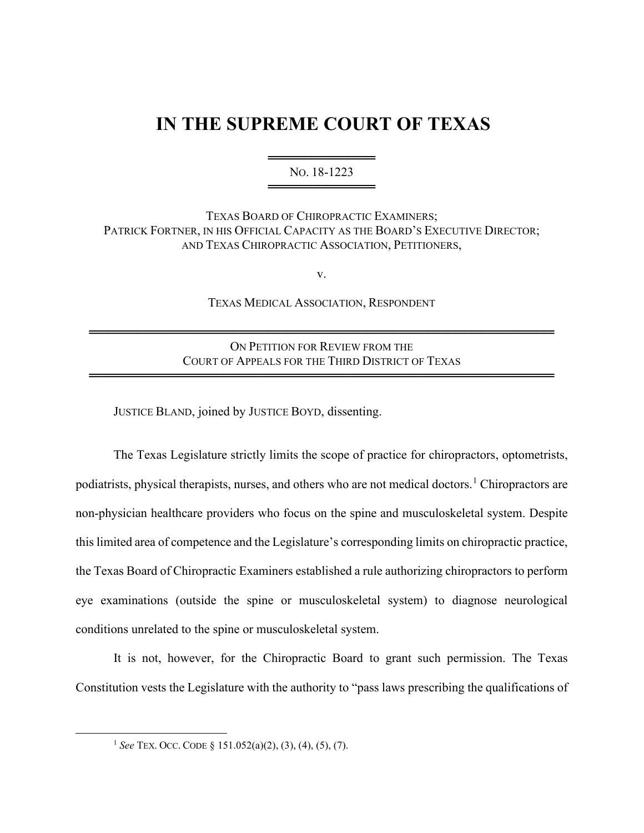## **IN THE SUPREME COURT OF TEXAS**

═════════════════════════════ NO. 18-1223 ═════════════════

TEXAS BOARD OF CHIROPRACTIC EXAMINERS; PATRICK FORTNER, IN HIS OFFICIAL CAPACITY AS THE BOARD'S EXECUTIVE DIRECTOR; AND TEXAS CHIROPRACTIC ASSOCIATION, PETITIONERS,

v.

TEXAS MEDICAL ASSOCIATION, RESPONDENT

ON PETITION FOR REVIEW FROM THE COURT OF APPEALS FOR THE THIRD DISTRICT OF TEXAS

════════════════════════════════════════════════════

════════════════════════════════════════════════════

JUSTICE BLAND, joined by JUSTICE BOYD, dissenting.

The Texas Legislature strictly limits the scope of practice for chiropractors, optometrists, podiatrists, physical therapists, nurses, and others who are not medical doctors.<sup>1</sup> Chiropractors are non-physician healthcare providers who focus on the spine and musculoskeletal system. Despite this limited area of competence and the Legislature's corresponding limits on chiropractic practice, the Texas Board of Chiropractic Examiners established a rule authorizing chiropractors to perform eye examinations (outside the spine or musculoskeletal system) to diagnose neurological conditions unrelated to the spine or musculoskeletal system.

It is not, however, for the Chiropractic Board to grant such permission. The Texas Constitution vests the Legislature with the authority to "pass laws prescribing the qualifications of

<sup>1</sup> *See* TEX. OCC. CODE § 151.052(a)(2), (3), (4), (5), (7).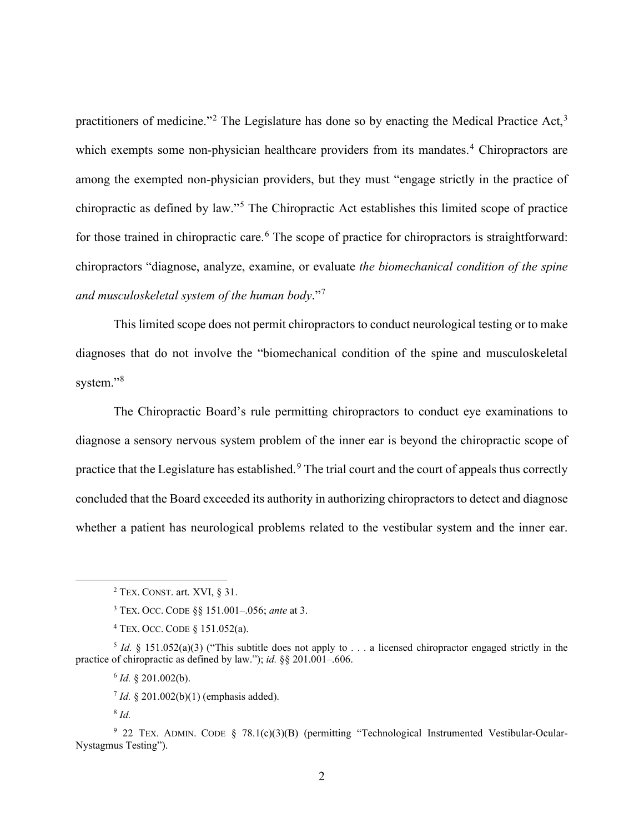practitioners of medicine."<sup>2</sup> The Legislature has done so by enacting the Medical Practice Act,<sup>3</sup> which exempts some non-physician healthcare providers from its mandates.<sup>4</sup> Chiropractors are among the exempted non-physician providers, but they must "engage strictly in the practice of chiropractic as defined by law."<sup>5</sup> The Chiropractic Act establishes this limited scope of practice for those trained in chiropractic care.<sup>6</sup> The scope of practice for chiropractors is straightforward: chiropractors "diagnose, analyze, examine, or evaluate *the biomechanical condition of the spine and musculoskeletal system of the human body*."<sup>7</sup>

This limited scope does not permit chiropractors to conduct neurological testing or to make diagnoses that do not involve the "biomechanical condition of the spine and musculoskeletal system."<sup>8</sup>

The Chiropractic Board's rule permitting chiropractors to conduct eye examinations to diagnose a sensory nervous system problem of the inner ear is beyond the chiropractic scope of practice that the Legislature has established.<sup>9</sup> The trial court and the court of appeals thus correctly concluded that the Board exceeded its authority in authorizing chiropractors to detect and diagnose whether a patient has neurological problems related to the vestibular system and the inner ear.

 $6$  *Id.* § 201.002(b).

<sup>7</sup> *Id.* § 201.002(b)(1) (emphasis added).

<sup>8</sup> *Id.*

<sup>9</sup> 22 TEX. ADMIN. CODE § 78.1(c)(3)(B) (permitting "Technological Instrumented Vestibular-Ocular-Nystagmus Testing").

 $2$  TEX. CONST. art. XVI,  $§$  31.

<sup>3</sup> TEX. OCC. CODE §§ 151.001–.056; *ante* at 3.

<sup>4</sup> TEX. OCC. CODE § 151.052(a).

<sup>&</sup>lt;sup>5</sup> *Id.* § 151.052(a)(3) ("This subtitle does not apply to  $\ldots$  a licensed chiropractor engaged strictly in the practice of chiropractic as defined by law."); *id.* §§ 201.001–.606.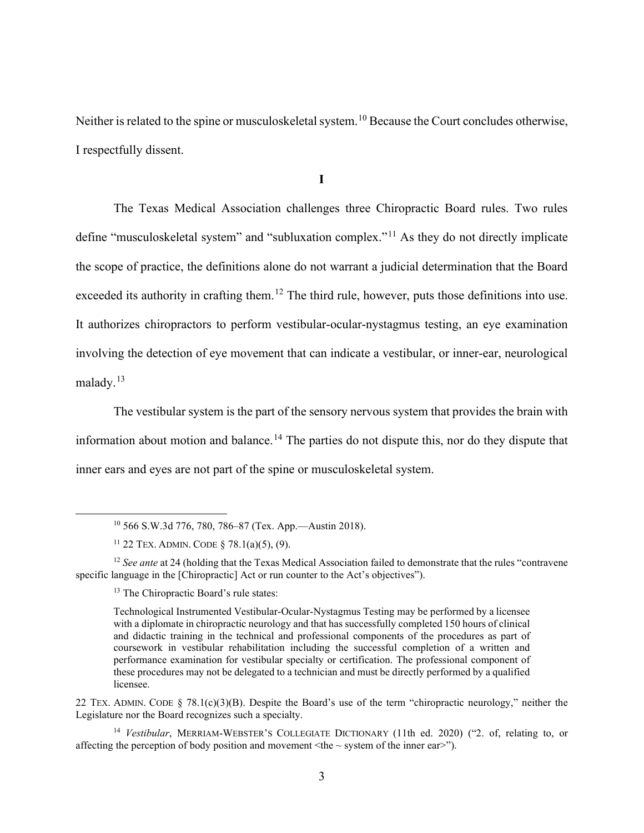Neither is related to the spine or musculoskeletal system.<sup>10</sup> Because the Court concludes otherwise, I respectfully dissent.

**I**

The Texas Medical Association challenges three Chiropractic Board rules. Two rules define "musculoskeletal system" and "subluxation complex."<sup>11</sup> As they do not directly implicate the scope of practice, the definitions alone do not warrant a judicial determination that the Board exceeded its authority in crafting them.<sup>12</sup> The third rule, however, puts those definitions into use. It authorizes chiropractors to perform vestibular-ocular-nystagmus testing, an eye examination involving the detection of eye movement that can indicate a vestibular, or inner-ear, neurological malady.<sup>13</sup>

The vestibular system is the part of the sensory nervous system that provides the brain with information about motion and balance.<sup>14</sup> The parties do not dispute this, nor do they dispute that inner ears and eyes are not part of the spine or musculoskeletal system.

<sup>10</sup> 566 S.W.3d 776, 780, 786–87 (Tex. App.—Austin 2018).

<sup>11</sup> 22 TEX. ADMIN. CODE § 78.1(a)(5), (9).

<sup>&</sup>lt;sup>12</sup> *See ante* at 24 (holding that the Texas Medical Association failed to demonstrate that the rules "contravene" specific language in the [Chiropractic] Act or run counter to the Act's objectives").

<sup>&</sup>lt;sup>13</sup> The Chiropractic Board's rule states:

Technological Instrumented Vestibular-Ocular-Nystagmus Testing may be performed by a licensee with a diplomate in chiropractic neurology and that has successfully completed 150 hours of clinical and didactic training in the technical and professional components of the procedures as part of coursework in vestibular rehabilitation including the successful completion of a written and performance examination for vestibular specialty or certification. The professional component of these procedures may not be delegated to a technician and must be directly performed by a qualified licensee.

<sup>22</sup> TEX. ADMIN. CODE  $\S$  78.1(c)(3)(B). Despite the Board's use of the term "chiropractic neurology," neither the Legislature nor the Board recognizes such a specialty.

<sup>14</sup> *Vestibular*, MERRIAM-WEBSTER'S COLLEGIATE DICTIONARY (11th ed. 2020) ("2. of, relating to, or affecting the perception of body position and movement  $\langle$ the  $\sim$  system of the inner ear $>$ ").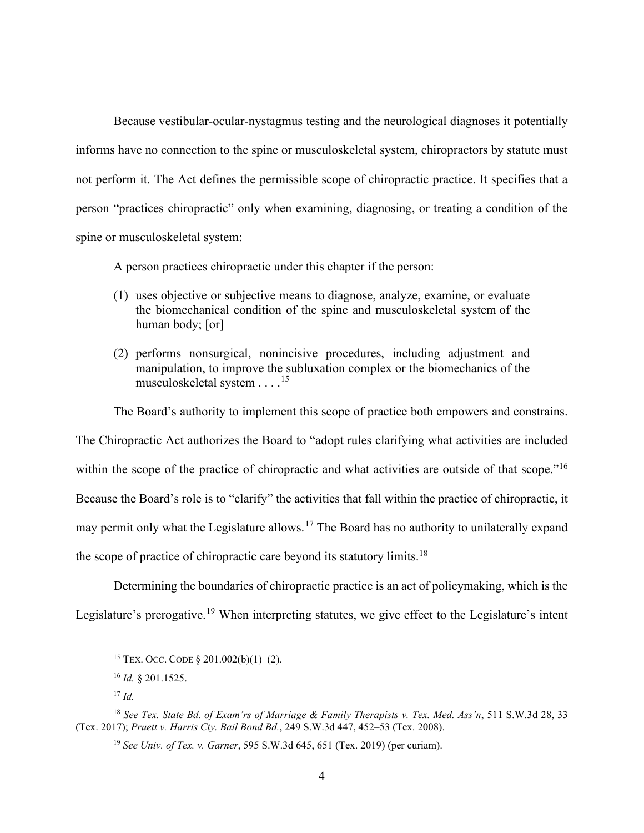Because vestibular-ocular-nystagmus testing and the neurological diagnoses it potentially informs have no connection to the spine or musculoskeletal system, chiropractors by statute must not perform it. The Act defines the permissible scope of chiropractic practice. It specifies that a person "practices chiropractic" only when examining, diagnosing, or treating a condition of the spine or musculoskeletal system:

A person practices chiropractic under this chapter if the person:

- (1) uses objective or subjective means to diagnose, analyze, examine, or evaluate the biomechanical condition of the spine and musculoskeletal system of the human body; [or]
- (2) performs nonsurgical, nonincisive procedures, including adjustment and manipulation, to improve the subluxation complex or the biomechanics of the musculoskeletal system . . . .<sup>15</sup>

The Board's authority to implement this scope of practice both empowers and constrains.

The Chiropractic Act authorizes the Board to "adopt rules clarifying what activities are included within the scope of the practice of chiropractic and what activities are outside of that scope."<sup>16</sup> Because the Board's role is to "clarify" the activities that fall within the practice of chiropractic, it may permit only what the Legislature allows.<sup>17</sup> The Board has no authority to unilaterally expand the scope of practice of chiropractic care beyond its statutory limits.<sup>18</sup>

Determining the boundaries of chiropractic practice is an act of policymaking, which is the Legislature's prerogative.<sup>19</sup> When interpreting statutes, we give effect to the Legislature's intent

<sup>15</sup> TEX. OCC. CODE § 201.002(b)(1)–(2).

<sup>16</sup> *Id.* § 201.1525.

<sup>17</sup> *Id.*

<sup>18</sup> *See Tex. State Bd. of Exam'rs of Marriage & Family Therapists v. Tex. Med. Ass'n*, 511 S.W.3d 28, 33 (Tex. 2017); *Pruett v. Harris Cty. Bail Bond Bd.*, 249 S.W.3d 447, 452–53 (Tex. 2008).

<sup>19</sup> *See Univ. of Tex. v. Garner*, 595 S.W.3d 645, 651 (Tex. 2019) (per curiam).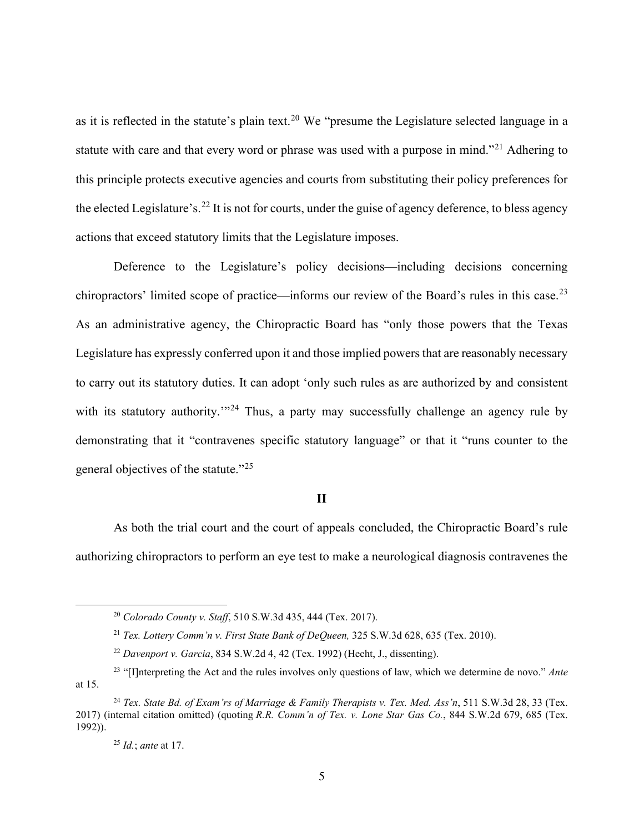as it is reflected in the statute's plain text.<sup>20</sup> We "presume the Legislature selected language in a statute with care and that every word or phrase was used with a purpose in mind."<sup>21</sup> Adhering to this principle protects executive agencies and courts from substituting their policy preferences for the elected Legislature's.<sup>22</sup> It is not for courts, under the guise of agency deference, to bless agency actions that exceed statutory limits that the Legislature imposes.

Deference to the Legislature's policy decisions—including decisions concerning chiropractors' limited scope of practice—informs our review of the Board's rules in this case.<sup>23</sup> As an administrative agency, the Chiropractic Board has "only those powers that the Texas Legislature has expressly conferred upon it and those implied powers that are reasonably necessary to carry out its statutory duties. It can adopt 'only such rules as are authorized by and consistent with its statutory authority.<sup>"24</sup> Thus, a party may successfully challenge an agency rule by demonstrating that it "contravenes specific statutory language" or that it "runs counter to the general objectives of the statute."<sup>25</sup>

## **II**

As both the trial court and the court of appeals concluded, the Chiropractic Board's rule authorizing chiropractors to perform an eye test to make a neurological diagnosis contravenes the

<sup>20</sup> *Colorado County v. Staff*, 510 S.W.3d 435, 444 (Tex. 2017).

<sup>21</sup> *Tex. Lottery Comm'n v. First State Bank of DeQueen,* 325 S.W.3d 628, 635 (Tex. 2010).

<sup>22</sup> *Davenport v. Garcia*, 834 S.W.2d 4, 42 (Tex. 1992) (Hecht, J., dissenting).

<sup>23</sup> "[I]nterpreting the Act and the rules involves only questions of law, which we determine de novo." *Ante* at 15.

<sup>24</sup> *Tex. State Bd. of Exam'rs of Marriage & Family Therapists v. Tex. Med. Ass'n*, 511 S.W.3d 28, 33 (Tex. 2017) (internal citation omitted) (quoting *R.R. Comm'n of Tex. v. Lone Star Gas Co.*, 844 S.W.2d 679, 685 (Tex. 1992)).

<sup>25</sup> *Id.*; *ante* at 17.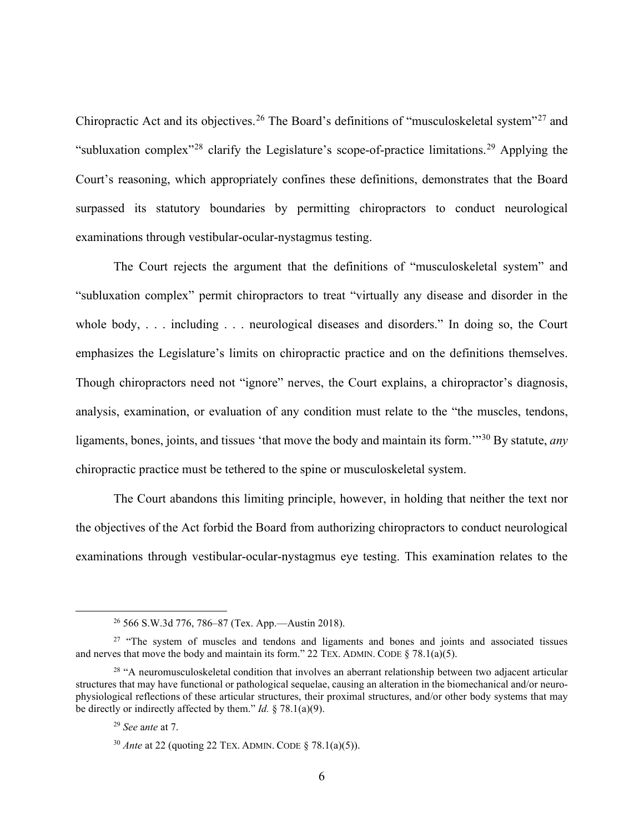Chiropractic Act and its objectives.<sup>26</sup> The Board's definitions of "musculoskeletal system"<sup>27</sup> and "subluxation complex"<sup>28</sup> clarify the Legislature's scope-of-practice limitations.<sup>29</sup> Applying the Court's reasoning, which appropriately confines these definitions, demonstrates that the Board surpassed its statutory boundaries by permitting chiropractors to conduct neurological examinations through vestibular-ocular-nystagmus testing.

The Court rejects the argument that the definitions of "musculoskeletal system" and "subluxation complex" permit chiropractors to treat "virtually any disease and disorder in the whole body, . . . including . . . neurological diseases and disorders." In doing so, the Court emphasizes the Legislature's limits on chiropractic practice and on the definitions themselves. Though chiropractors need not "ignore" nerves, the Court explains, a chiropractor's diagnosis, analysis, examination, or evaluation of any condition must relate to the "the muscles, tendons, ligaments, bones, joints, and tissues 'that move the body and maintain its form.'"<sup>30</sup> By statute, *any* chiropractic practice must be tethered to the spine or musculoskeletal system.

The Court abandons this limiting principle, however, in holding that neither the text nor the objectives of the Act forbid the Board from authorizing chiropractors to conduct neurological examinations through vestibular-ocular-nystagmus eye testing. This examination relates to the

<sup>26</sup> 566 S.W.3d 776, 786–87 (Tex. App.—Austin 2018).

<sup>&</sup>lt;sup>27</sup> "The system of muscles and tendons and ligaments and bones and joints and associated tissues and nerves that move the body and maintain its form." 22 TEX. ADMIN. CODE  $\S$  78.1(a)(5).

<sup>&</sup>lt;sup>28</sup> "A neuromusculoskeletal condition that involves an aberrant relationship between two adjacent articular structures that may have functional or pathological sequelae, causing an alteration in the biomechanical and/or neurophysiological reflections of these articular structures, their proximal structures, and/or other body systems that may be directly or indirectly affected by them." *Id.* § 78.1(a)(9).

<sup>29</sup> *See* a*nte* at 7.

<sup>30</sup> *Ante* at 22 (quoting 22 TEX. ADMIN. CODE § 78.1(a)(5)).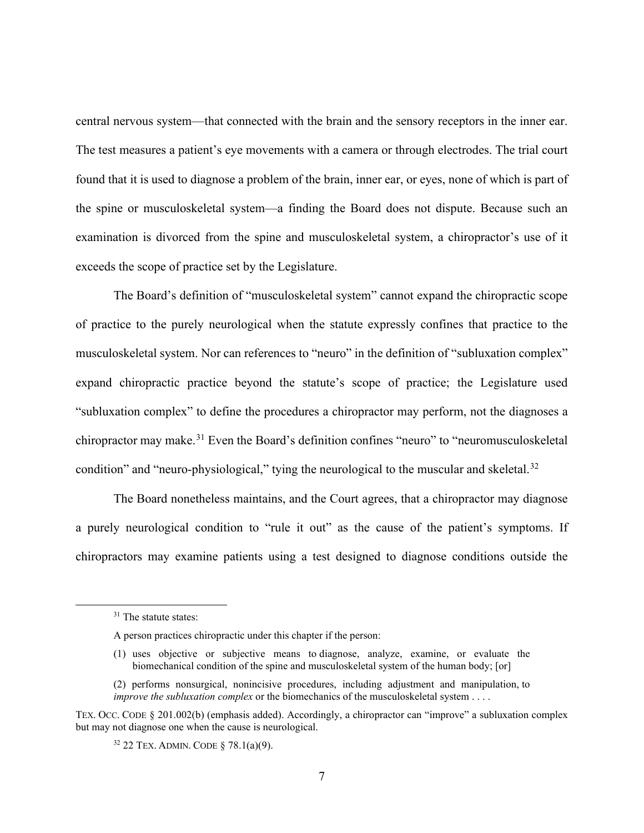central nervous system—that connected with the brain and the sensory receptors in the inner ear. The test measures a patient's eye movements with a camera or through electrodes. The trial court found that it is used to diagnose a problem of the brain, inner ear, or eyes, none of which is part of the spine or musculoskeletal system—a finding the Board does not dispute. Because such an examination is divorced from the spine and musculoskeletal system, a chiropractor's use of it exceeds the scope of practice set by the Legislature.

The Board's definition of "musculoskeletal system" cannot expand the chiropractic scope of practice to the purely neurological when the statute expressly confines that practice to the musculoskeletal system. Nor can references to "neuro" in the definition of "subluxation complex" expand chiropractic practice beyond the statute's scope of practice; the Legislature used "subluxation complex" to define the procedures a chiropractor may perform, not the diagnoses a chiropractor may make.<sup>31</sup> Even the Board's definition confines "neuro" to "neuromusculoskeletal condition" and "neuro-physiological," tying the neurological to the muscular and skeletal.<sup>32</sup>

The Board nonetheless maintains, and the Court agrees, that a chiropractor may diagnose a purely neurological condition to "rule it out" as the cause of the patient's symptoms. If chiropractors may examine patients using a test designed to diagnose conditions outside the

- (1) uses objective or subjective means to diagnose, analyze, examine, or evaluate the biomechanical condition of the spine and musculoskeletal system of the human body; [or]
- (2) performs nonsurgical, nonincisive procedures, including adjustment and manipulation, to *improve the subluxation complex* or the biomechanics of the musculoskeletal system . . . .

<sup>&</sup>lt;sup>31</sup> The statute states:

A person practices chiropractic under this chapter if the person:

TEX. OCC. CODE § 201.002(b) (emphasis added). Accordingly, a chiropractor can "improve" a subluxation complex but may not diagnose one when the cause is neurological.

 $32$  22 TEX. ADMIN. CODE § 78.1(a)(9).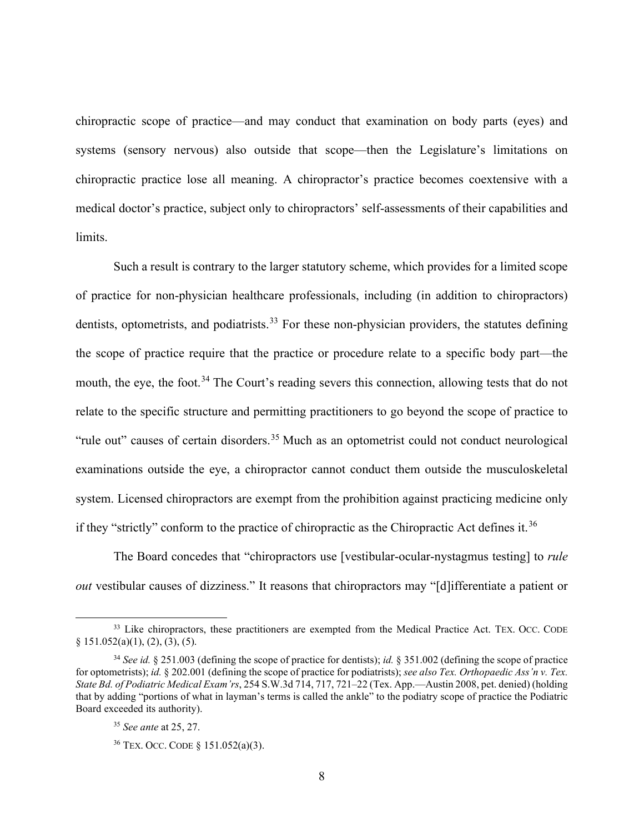chiropractic scope of practice—and may conduct that examination on body parts (eyes) and systems (sensory nervous) also outside that scope—then the Legislature's limitations on chiropractic practice lose all meaning. A chiropractor's practice becomes coextensive with a medical doctor's practice, subject only to chiropractors' self-assessments of their capabilities and limits.

Such a result is contrary to the larger statutory scheme, which provides for a limited scope of practice for non-physician healthcare professionals, including (in addition to chiropractors) dentists, optometrists, and podiatrists.<sup>33</sup> For these non-physician providers, the statutes defining the scope of practice require that the practice or procedure relate to a specific body part—the mouth, the eye, the foot.<sup>34</sup> The Court's reading severs this connection, allowing tests that do not relate to the specific structure and permitting practitioners to go beyond the scope of practice to "rule out" causes of certain disorders.<sup>35</sup> Much as an optometrist could not conduct neurological examinations outside the eye, a chiropractor cannot conduct them outside the musculoskeletal system. Licensed chiropractors are exempt from the prohibition against practicing medicine only if they "strictly" conform to the practice of chiropractic as the Chiropractic Act defines it.<sup>36</sup>

The Board concedes that "chiropractors use [vestibular-ocular-nystagmus testing] to *rule out* vestibular causes of dizziness." It reasons that chiropractors may "[d]ifferentiate a patient or

<sup>&</sup>lt;sup>33</sup> Like chiropractors, these practitioners are exempted from the Medical Practice Act. TEX. OCC. CODE § 151.052(a)(1), (2), (3), (5).

<sup>34</sup> *See id.* § 251.003 (defining the scope of practice for dentists); *id.* § 351.002 (defining the scope of practice for optometrists); *id.* § 202.001 (defining the scope of practice for podiatrists); *see also Tex. Orthopaedic Ass'n v. Tex. State Bd. of Podiatric Medical Exam'rs*, 254 S.W.3d 714, 717, 721–22 (Tex. App.—Austin 2008, pet. denied) (holding that by adding "portions of what in layman's terms is called the ankle" to the podiatry scope of practice the Podiatric Board exceeded its authority).

<sup>35</sup> *See ante* at 25, 27.

<sup>36</sup> TEX. OCC. CODE § 151.052(a)(3).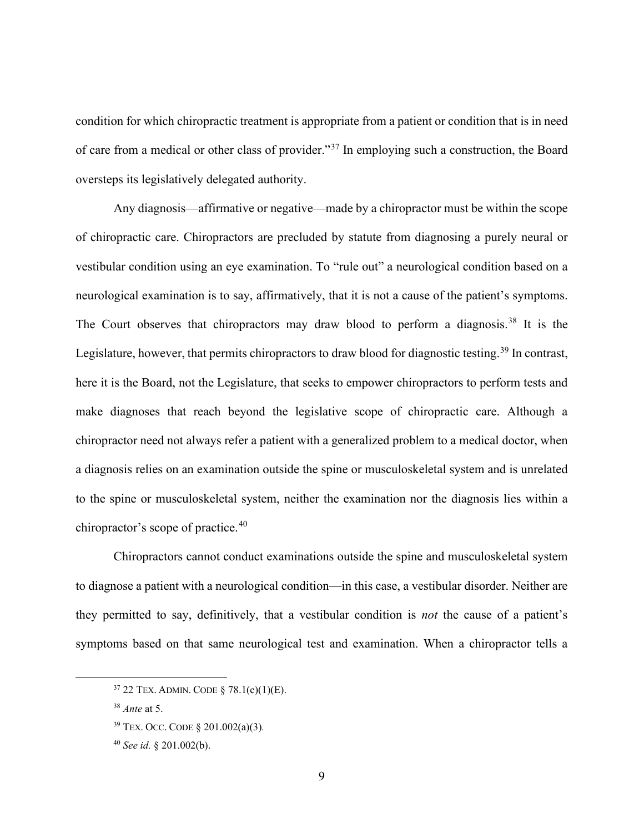condition for which chiropractic treatment is appropriate from a patient or condition that is in need of care from a medical or other class of provider."<sup>37</sup> In employing such a construction, the Board oversteps its legislatively delegated authority.

Any diagnosis—affirmative or negative—made by a chiropractor must be within the scope of chiropractic care. Chiropractors are precluded by statute from diagnosing a purely neural or vestibular condition using an eye examination. To "rule out" a neurological condition based on a neurological examination is to say, affirmatively, that it is not a cause of the patient's symptoms. The Court observes that chiropractors may draw blood to perform a diagnosis.<sup>38</sup> It is the Legislature, however, that permits chiropractors to draw blood for diagnostic testing.<sup>39</sup> In contrast, here it is the Board, not the Legislature, that seeks to empower chiropractors to perform tests and make diagnoses that reach beyond the legislative scope of chiropractic care. Although a chiropractor need not always refer a patient with a generalized problem to a medical doctor, when a diagnosis relies on an examination outside the spine or musculoskeletal system and is unrelated to the spine or musculoskeletal system, neither the examination nor the diagnosis lies within a chiropractor's scope of practice.<sup>40</sup>

Chiropractors cannot conduct examinations outside the spine and musculoskeletal system to diagnose a patient with a neurological condition—in this case, a vestibular disorder. Neither are they permitted to say, definitively, that a vestibular condition is *not* the cause of a patient's symptoms based on that same neurological test and examination. When a chiropractor tells a

<sup>37</sup> 22 TEX. ADMIN. CODE § 78.1(c)(1)(E).

<sup>38</sup> *Ante* at 5.

<sup>39</sup> TEX. OCC. CODE § 201.002(a)(3)*.*

<sup>40</sup> *See id.* § 201.002(b).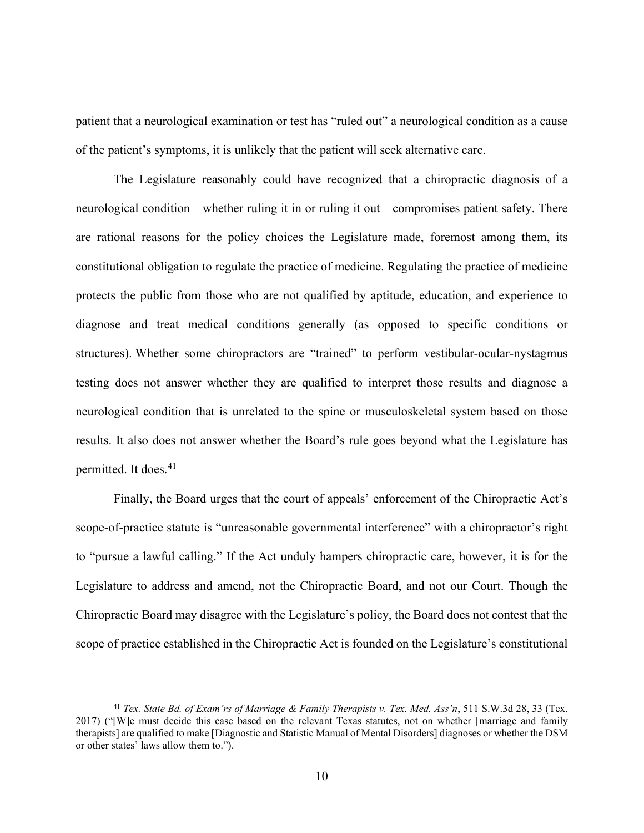patient that a neurological examination or test has "ruled out" a neurological condition as a cause of the patient's symptoms, it is unlikely that the patient will seek alternative care.

The Legislature reasonably could have recognized that a chiropractic diagnosis of a neurological condition—whether ruling it in or ruling it out—compromises patient safety. There are rational reasons for the policy choices the Legislature made, foremost among them, its constitutional obligation to regulate the practice of medicine. Regulating the practice of medicine protects the public from those who are not qualified by aptitude, education, and experience to diagnose and treat medical conditions generally (as opposed to specific conditions or structures). Whether some chiropractors are "trained" to perform vestibular-ocular-nystagmus testing does not answer whether they are qualified to interpret those results and diagnose a neurological condition that is unrelated to the spine or musculoskeletal system based on those results. It also does not answer whether the Board's rule goes beyond what the Legislature has permitted. It does.<sup>41</sup>

Finally, the Board urges that the court of appeals' enforcement of the Chiropractic Act's scope-of-practice statute is "unreasonable governmental interference" with a chiropractor's right to "pursue a lawful calling." If the Act unduly hampers chiropractic care, however, it is for the Legislature to address and amend, not the Chiropractic Board, and not our Court. Though the Chiropractic Board may disagree with the Legislature's policy, the Board does not contest that the scope of practice established in the Chiropractic Act is founded on the Legislature's constitutional

<sup>41</sup> *Tex. State Bd. of Exam'rs of Marriage & Family Therapists v. Tex. Med. Ass'n*, 511 S.W.3d 28, 33 (Tex. 2017) ("[W]e must decide this case based on the relevant Texas statutes, not on whether [marriage and family therapists] are qualified to make [Diagnostic and Statistic Manual of Mental Disorders] diagnoses or whether the DSM or other states' laws allow them to.").